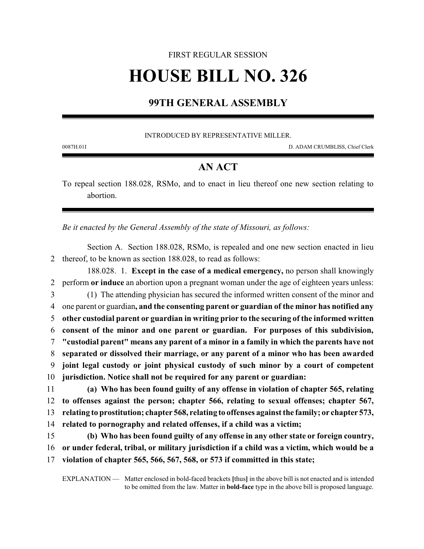# FIRST REGULAR SESSION **HOUSE BILL NO. 326**

## **99TH GENERAL ASSEMBLY**

#### INTRODUCED BY REPRESENTATIVE MILLER.

0087H.01I D. ADAM CRUMBLISS, Chief Clerk

### **AN ACT**

To repeal section 188.028, RSMo, and to enact in lieu thereof one new section relating to abortion.

*Be it enacted by the General Assembly of the state of Missouri, as follows:*

Section A. Section 188.028, RSMo, is repealed and one new section enacted in lieu 2 thereof, to be known as section 188.028, to read as follows:

188.028. 1. **Except in the case of a medical emergency,** no person shall knowingly perform **or induce** an abortion upon a pregnant woman under the age of eighteen years unless: (1) The attending physician has secured the informed written consent of the minor and one parent or guardian**, and the consenting parent or guardian of the minor has notified any other custodial parent or guardian in writing prior to the securing of the informed written consent of the minor and one parent or guardian. For purposes of this subdivision, "custodial parent" means any parent of a minor in a family in which the parents have not separated or dissolved their marriage, or any parent of a minor who has been awarded joint legal custody or joint physical custody of such minor by a court of competent jurisdiction. Notice shall not be required for any parent or guardian:**

 **(a) Who has been found guilty of any offense in violation of chapter 565, relating to offenses against the person; chapter 566, relating to sexual offenses; chapter 567, relating to prostitution; chapter 568, relating to offenses against the family; or chapter 573, related to pornography and related offenses, if a child was a victim;**

15 **(b) Who has been found guilty of any offense in any other state or foreign country,** 16 **or under federal, tribal, or military jurisdiction if a child was a victim, which would be a** 17 **violation of chapter 565, 566, 567, 568, or 573 if committed in this state;**

EXPLANATION — Matter enclosed in bold-faced brackets **[**thus**]** in the above bill is not enacted and is intended to be omitted from the law. Matter in **bold-face** type in the above bill is proposed language.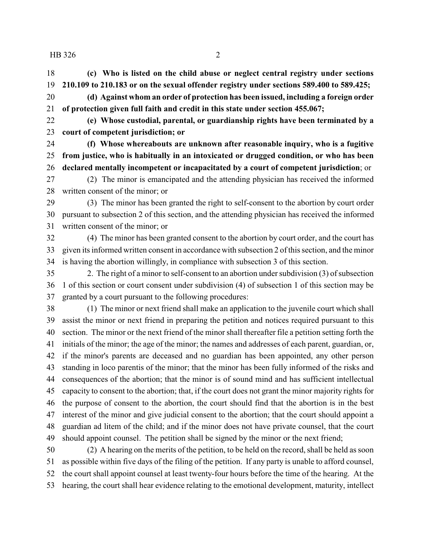HB 326 2

 **(c) Who is listed on the child abuse or neglect central registry under sections 210.109 to 210.183 or on the sexual offender registry under sections 589.400 to 589.425;**

 **(d) Against whom an order of protection has been issued, including a foreign order of protection given full faith and credit in this state under section 455.067;**

 **(e) Whose custodial, parental, or guardianship rights have been terminated by a court of competent jurisdiction; or**

 **(f) Whose whereabouts are unknown after reasonable inquiry, who is a fugitive from justice, who is habitually in an intoxicated or drugged condition, or who has been declared mentally incompetent or incapacitated by a court of competent jurisdiction**; or

 (2) The minor is emancipated and the attending physician has received the informed written consent of the minor; or

 (3) The minor has been granted the right to self-consent to the abortion by court order pursuant to subsection 2 of this section, and the attending physician has received the informed written consent of the minor; or

 (4) The minor has been granted consent to the abortion by court order, and the court has given its informed written consent in accordance with subsection 2 of this section, and the minor is having the abortion willingly, in compliance with subsection 3 of this section.

 2. The right of a minor to self-consent to an abortion under subdivision (3) of subsection 1 of this section or court consent under subdivision (4) of subsection 1 of this section may be granted by a court pursuant to the following procedures:

 (1) The minor or next friend shall make an application to the juvenile court which shall assist the minor or next friend in preparing the petition and notices required pursuant to this section. The minor or the next friend of the minor shall thereafter file a petition setting forth the initials of the minor; the age of the minor; the names and addresses of each parent, guardian, or, if the minor's parents are deceased and no guardian has been appointed, any other person standing in loco parentis of the minor; that the minor has been fully informed of the risks and consequences of the abortion; that the minor is of sound mind and has sufficient intellectual capacity to consent to the abortion; that, if the court does not grant the minor majority rights for the purpose of consent to the abortion, the court should find that the abortion is in the best interest of the minor and give judicial consent to the abortion; that the court should appoint a guardian ad litem of the child; and if the minor does not have private counsel, that the court should appoint counsel. The petition shall be signed by the minor or the next friend;

 (2) A hearing on the merits of the petition, to be held on the record, shall be held as soon as possible within five days of the filing of the petition. If any party is unable to afford counsel, the court shall appoint counsel at least twenty-four hours before the time of the hearing. At the hearing, the court shall hear evidence relating to the emotional development, maturity, intellect